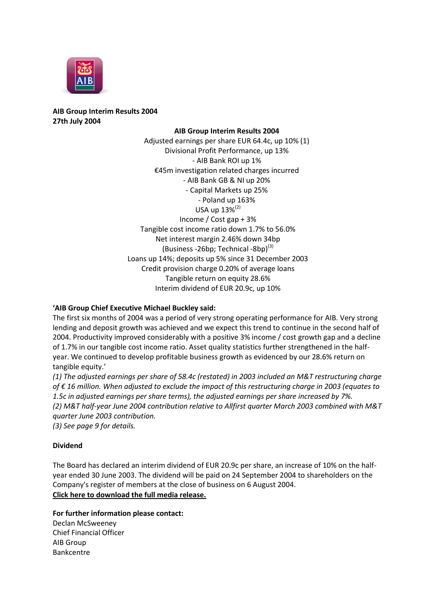

## **AIB Group Interim Results 2004 27th July 2004**

## **AIB Group Interim Results 2004**

Adjusted earnings per share EUR 64.4c, up 10% (1) Divisional Profit Performance, up 13% - AIB Bank ROI up 1% €45m investigation related charges incurred - AIB Bank GB & NI up 20% - Capital Markets up 25% - Poland up 163% USA up 13%(2) Income / Cost gap + 3% Tangible cost income ratio down 1.7% to 56.0% Net interest margin 2.46% down 34bp (Business -26bp; Technical -8bp) $^{(3)}$ Loans up 14%; deposits up 5% since 31 December 2003 Credit provision charge 0.20% of average loans Tangible return on equity 28.6% Interim dividend of EUR 20.9c, up 10%

## **'AIB Group Chief Executive Michael Buckley said:**

The first six months of 2004 was a period of very strong operating performance for AIB. Very strong lending and deposit growth was achieved and we expect this trend to continue in the second half of 2004. Productivity improved considerably with a positive 3% income / cost growth gap and a decline of 1.7% in our tangible cost income ratio. Asset quality statistics further strengthened in the halfyear. We continued to develop profitable business growth as evidenced by our 28.6% return on tangible equity.'

*(1) The adjusted earnings per share of 58.4c (restated) in 2003 included an M&T restructuring charge of € 16 million. When adjusted to exclude the impact of this restructuring charge in 2003 (equates to 1.5c in adjusted earnings per share terms), the adjusted earnings per share increased by 7%. (2) M&T half-year June 2004 contribution relative to Allfirst quarter March 2003 combined with M&T quarter June 2003 contribution.*

*(3) See page 9 for details.*

## **Dividend**

The Board has declared an interim dividend of EUR 20.9c per share, an increase of 10% on the halfyear ended 30 June 2003. The dividend will be paid on 24 September 2004 to shareholders on the Company's register of members at the close of business on 6 August 2004. **[Click here to download the full media release.](http://www.aib.ie/servlet/ContentServer?pagename=AIB_InvestorRelations/AIB_Download/aib_ir_d_download&c=AIB_Download&cid=1089924135447&irSection=CR)**

**For further information please contact:**

Declan McSweeney Chief Financial Officer AIB Group Bankcentre